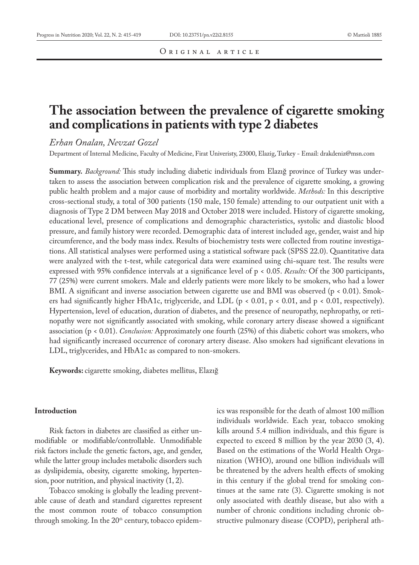# **The association between the prevalence of cigarette smoking and complications in patients with type 2 diabetes**

*Erhan Onalan, Nevzat Gozel*

Department of Internal Medicine, Faculty of Medicine, Firat Univeristy, 23000, Elazig, Turkey - Email: drakdeniz@msn.com

**Summary.** *Background:* This study including diabetic individuals from Elazığ province of Turkey was undertaken to assess the association between complication risk and the prevalence of cigarette smoking, a growing public health problem and a major cause of morbidity and mortality worldwide. *Methods:* In this descriptive cross-sectional study, a total of 300 patients (150 male, 150 female) attending to our outpatient unit with a diagnosis of Type 2 DM between May 2018 and October 2018 were included. History of cigarette smoking, educational level, presence of complications and demographic characteristics, systolic and diastolic blood pressure, and family history were recorded. Demographic data of interest included age, gender, waist and hip circumference, and the body mass index. Results of biochemistry tests were collected from routine investigations. All statistical analyses were performed using a statistical software pack (SPSS 22.0). Quantitative data were analyzed with the t-test, while categorical data were examined using chi-square test. The results were expressed with 95% confidence intervals at a significance level of p < 0.05. *Results:* Of the 300 participants, 77 (25%) were current smokers. Male and elderly patients were more likely to be smokers, who had a lower BMI. A significant and inverse association between cigarette use and BMI was observed (p < 0.01). Smokers had significantly higher HbA1c, triglyceride, and LDL ( $p < 0.01$ ,  $p < 0.01$ , and  $p < 0.01$ , respectively). Hypertension, level of education, duration of diabetes, and the presence of neuropathy, nephropathy, or retinopathy were not significantly associated with smoking, while coronary artery disease showed a significant association (p < 0.01). *Conclusion:* Approximately one fourth (25%) of this diabetic cohort was smokers, who had significantly increased occurrence of coronary artery disease. Also smokers had significant elevations in LDL, triglycerides, and HbA1c as compared to non-smokers.

**Keywords:** cigarette smoking, diabetes mellitus, Elazığ

# **Introduction**

Risk factors in diabetes are classified as either unmodifiable or modifiable/controllable. Unmodifiable risk factors include the genetic factors, age, and gender, while the latter group includes metabolic disorders such as dyslipidemia, obesity, cigarette smoking, hypertension, poor nutrition, and physical inactivity (1, 2).

Tobacco smoking is globally the leading preventable cause of death and standard cigarettes represent the most common route of tobacco consumption through smoking. In the  $20<sup>th</sup>$  century, tobacco epidemics was responsible for the death of almost 100 million individuals worldwide. Each year, tobacco smoking kills around 5.4 million individuals, and this figure is expected to exceed 8 million by the year 2030 (3, 4). Based on the estimations of the World Health Organization (WHO), around one billion individuals will be threatened by the advers health effects of smoking in this century if the global trend for smoking continues at the same rate (3). Cigarette smoking is not only associated with deathly disease, but also with a number of chronic conditions including chronic obstructive pulmonary disease (COPD), peripheral ath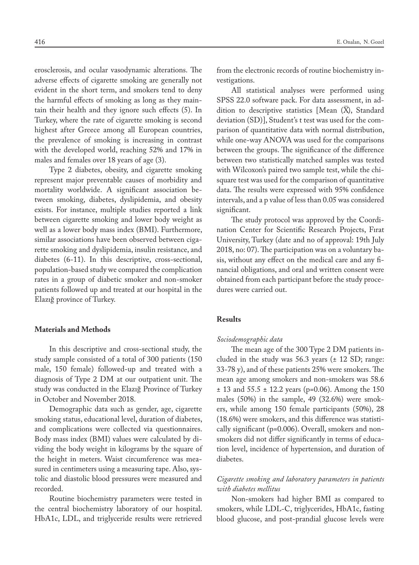erosclerosis, and ocular vasodynamic alterations. The adverse effects of cigarette smoking are generally not evident in the short term, and smokers tend to deny the harmful effects of smoking as long as they maintain their health and they ignore such effects (5). In Turkey, where the rate of cigarette smoking is second highest after Greece among all European countries, the prevalence of smoking is increasing in contrast with the developed world, reaching 52% and 17% in males and females over 18 years of age (3).

Type 2 diabetes, obesity, and cigarette smoking represent major preventable causes of morbidity and mortality worldwide. A significant association between smoking, diabetes, dyslipidemia, and obesity exists. For instance, multiple studies reported a link between cigarette smoking and lower body weight as well as a lower body mass index (BMI). Furthermore, similar associations have been observed between cigarette smoking and dyslipidemia, insulin resistance, and diabetes (6-11). In this descriptive, cross-sectional, population-based study we compared the complication rates in a group of diabetic smoker and non-smoker patients followed up and treated at our hospital in the Elazığ province of Turkey.

#### **Materials and Methods**

In this descriptive and cross-sectional study, the study sample consisted of a total of 300 patients (150 male, 150 female) followed-up and treated with a diagnosis of Type 2 DM at our outpatient unit. The study was conducted in the Elazığ Province of Turkey in October and November 2018.

Demographic data such as gender, age, cigarette smoking status, educational level, duration of diabetes, and complications were collected via questionnaires. Body mass index (BMI) values were calculated by dividing the body weight in kilograms by the square of the height in meters. Waist circumference was measured in centimeters using a measuring tape. Also, systolic and diastolic blood pressures were measured and recorded.

Routine biochemistry parameters were tested in the central biochemistry laboratory of our hospital. HbA1c, LDL, and triglyceride results were retrieved from the electronic records of routine biochemistry investigations.

All statistical analyses were performed using SPSS 22.0 software pack. For data assessment, in addition to descriptive statistics [Mean  $(\overline{X})$ , Standard deviation (SD)], Student's t test was used for the comparison of quantitative data with normal distribution, while one-way ANOVA was used for the comparisons between the groups. The significance of the difference between two statistically matched samples was tested with Wilcoxon's paired two sample test, while the chisquare test was used for the comparison of quantitative data. The results were expressed with 95% confidence intervals, and a p value of less than 0.05 was considered significant.

The study protocol was approved by the Coordination Center for Scientific Research Projects, Fırat University, Turkey (date and no of approval: 19th July 2018, no: 07). The participation was on a voluntary basis, without any effect on the medical care and any financial obligations, and oral and written consent were obtained from each participant before the study procedures were carried out.

#### **Results**

#### *Sociodemographic data*

The mean age of the 300 Type 2 DM patients included in the study was  $56.3$  years ( $\pm$  12 SD; range: 33-78 y), and of these patients 25% were smokers. The mean age among smokers and non-smokers was 58.6  $\pm$  13 and 55.5  $\pm$  12.2 years (p=0.06). Among the 150 males (50%) in the sample, 49 (32.6%) were smokers, while among 150 female participants (50%), 28 (18.6%) were smokers, and this difference was statistically significant (p=0.006). Overall, smokers and nonsmokers did not differ significantly in terms of education level, incidence of hypertension, and duration of diabetes.

# *Cigarette smoking and laboratory parameters in patients with diabetes mellitus*

Non-smokers had higher BMI as compared to smokers, while LDL-C, triglycerides, HbA1c, fasting blood glucose, and post-prandial glucose levels were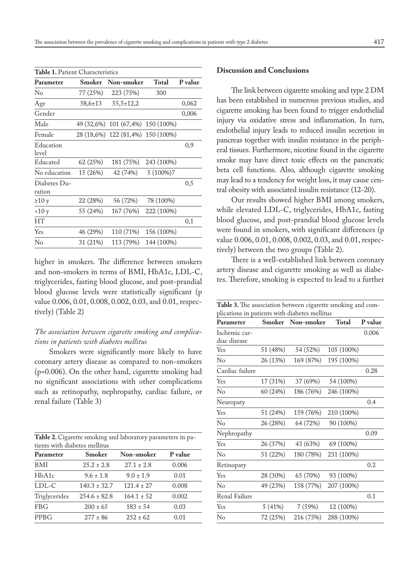| <b>Table 1.</b> Patient Characteristics |               |                                   |            |         |  |  |  |  |
|-----------------------------------------|---------------|-----------------------------------|------------|---------|--|--|--|--|
| Parameter                               | Smoker        | Non-smoker                        | Total      | P value |  |  |  |  |
| $\rm No$                                | 77 (25%)      | 223 (75%)                         | 300        |         |  |  |  |  |
| Age                                     | $58,6{\pm}13$ | $55,5 \pm 12,2$                   |            | 0,062   |  |  |  |  |
| Gender                                  |               |                                   |            | 0,006   |  |  |  |  |
| Male                                    |               | 49 (32,6%) 101 (67,4%) 150 (100%) |            |         |  |  |  |  |
| Female                                  |               | 28 (18,6%) 122 (81,4%) 150 (100%) |            |         |  |  |  |  |
| Education<br>level                      |               |                                   |            | 0,9     |  |  |  |  |
| Educated                                | 62 (25%)      | 181 (75%)                         | 243 (100%) |         |  |  |  |  |
| No education                            | 15 (26%)      | 42 (74%)                          | $5(100\%)$ |         |  |  |  |  |
| Diabetes Du-<br>ration                  |               |                                   |            | 0,5     |  |  |  |  |
| $\geq 10$ y                             | 22 (28%)      | 56 (72%)                          | 78 (100%)  |         |  |  |  |  |
| 10y                                     | 55 (24%)      | 167 (76%)                         | 222 (100%) |         |  |  |  |  |
| <b>HT</b>                               |               |                                   |            | 0,1     |  |  |  |  |
| Yes                                     | 46 (29%)      | 110 (71%)                         | 156 (100%) |         |  |  |  |  |
| No                                      | 31 (21%)      | 113 (79%)                         | 144 (100%) |         |  |  |  |  |

higher in smokers. The difference between smokers and non-smokers in terms of BMI, HbA1c, LDL-C, triglycerides, fasting blood glucose, and post-prandial blood glucose levels were statistically significant (p value 0.006, 0.01, 0.008, 0.002, 0.03, and 0.01, respectively) (Table 2)

# *The association between cigarette smoking and complications in patients with diabetes mellitus*

Smokers were significantly more likely to have coronary artery disease as compared to non-smokers (p=0.006). On the other hand, cigarette smoking had no significant associations with other complications such as retinopathy, nephropathy, cardiac failure, or renal failure (Table 3)

| Table 2. Cigarette smoking and laboratory parameters in pa- |  |
|-------------------------------------------------------------|--|
| tients with diabetes mellitus                               |  |

| Parameter     | <b>Smoker</b>    | Non-smoker     | P value |
|---------------|------------------|----------------|---------|
| <b>BMI</b>    | $25.2 \pm 2.8$   | $27.1 \pm 2.8$ | 0.006   |
| HbA1c         | $9.6 \pm 1.8$    | $9.0 \pm 1.9$  | 0.01    |
| LDL-C         | $140.3 \pm 32.7$ | $121.4 \pm 27$ | 0.008   |
| Triglycerides | $254.6 \pm 82.8$ | $164.1 \pm 52$ | 0.002   |
| FBG           | $200 \pm 65$     | $183 \pm 54$   | 0.03    |
| <b>PPBG</b>   | $277 \pm 86$     | $252 \pm 62$   | 0.01    |

### **Discussion and Conclusions**

The link between cigarette smoking and type 2 DM has been established in numerous previous studies, and cigarette smoking has been found to trigger endothelial injury via oxidative stress and inflammation. In turn, endothelial injury leads to reduced insulin secretion in pancreas together with insulin resistance in the peripheral tissues. Furthermore, nicotine found in the cigarette smoke may have direct toxic effects on the pancreatic beta cell functions. Also, although cigarette smoking may lead to a tendency for weight loss, it may cause central obesity with associated insulin resistance (12-20).

Our results showed higher BMI among smokers, while elevated LDL-C, triglycerides, HbA1c, fasting blood glucose, and post-prandial blood glucose levels were found in smokers, with significant differences (p value 0.006, 0.01, 0.008, 0.002, 0.03, and 0.01, respectively) between the two groups (Table 2).

There is a well-established link between coronary artery disease and cigarette smoking as well as diabetes. Therefore, smoking is expected to lead to a further

| Table 3. The association between cigarette smoking and com-<br>plications in patients with diabetes mellitus |               |            |            |         |  |  |  |
|--------------------------------------------------------------------------------------------------------------|---------------|------------|------------|---------|--|--|--|
| Parameter                                                                                                    | <b>Smoker</b> | Non-smoker | Total      | P value |  |  |  |
| Ischemic car-<br>diac disease                                                                                |               |            |            | 0.006   |  |  |  |
| Yes                                                                                                          | 51 (48%)      | 54 (52%)   | 105 (100%) |         |  |  |  |
| No                                                                                                           | 26 (13%)      | 169 (87%)  | 195 (100%) |         |  |  |  |
| Cardiac failure                                                                                              |               |            |            | 0.28    |  |  |  |
| Yes                                                                                                          | 17 (31%)      | 37 (69%)   | 54 (100%)  |         |  |  |  |
| No                                                                                                           | 60 (24%)      | 186 (76%)  | 246 (100%) |         |  |  |  |
| Neuropaty                                                                                                    |               |            |            | 0.4     |  |  |  |
| Yes                                                                                                          | 51 (24%)      | 159 (76%)  | 210 (100%) |         |  |  |  |
| No                                                                                                           | 26 (28%)      | 64 (72%)   | 90 (100%)  |         |  |  |  |
| Nephropathy                                                                                                  |               |            |            | 0.09    |  |  |  |
| Yes                                                                                                          | 26 (37%)      | 43 (63%)   | 69 (100%)  |         |  |  |  |
| No                                                                                                           | 51 (22%)      | 180 (78%)  | 231 (100%) |         |  |  |  |
| Retinopaty                                                                                                   |               |            |            | 0.2     |  |  |  |
| Yes                                                                                                          | 28 (30%)      | 65 (70%)   | 93 (100%)  |         |  |  |  |
| No                                                                                                           | 49 (23%)      | 158 (77%)  | 207 (100%) |         |  |  |  |
| Renal Failure                                                                                                |               |            |            | 0.1     |  |  |  |
| Yes                                                                                                          | 5(41%)        | 7 (59%)    | 12 (100%)  |         |  |  |  |
| $\rm No$                                                                                                     | 72 (25%)      | 216 (75%)  | 288 (100%) |         |  |  |  |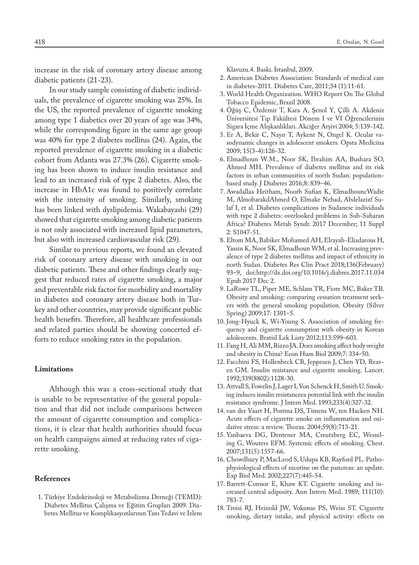increase in the risk of coronary artery disease among diabetic patients (21-23).

In our study sample consisting of diabetic individuals, the prevalence of cigarette smoking was 25%. In the US, the reported prevalence of cigarette smoking among type 1 diabetics over 20 years of age was 34%, while the corresponding figure in the same age group was 40% for type 2 diabetes mellitus (24). Again, the reported prevalence of cigarette smoking in a diabetic cohort from Atlanta was 27.3% (26). Cigarette smoking has been shown to induce insulin resistance and lead to an increased risk of type 2 diabetes. Also, the increase in HbA1c was found to positively correlate with the intensity of smoking. Similarly, smoking has been linked with dyslipidemia. Wakabayashi (29) showed that cigarette smoking among diabetic patients is not only associated with increased lipid parameters, but also with increased cardiovascular risk (29).

Similar to previous reports, we found an elevated risk of coronary artery disease with smoking in our diabetic patients. These and other findings clearly suggest that reduced rates of cigarette smoking, a major and preventable risk factor for morbidity and mortality in diabetes and coronary artery disease both in Turkey and other countries, may provide significant public health benefits. Therefore, all healthcare professionals and related parties should be showing concerted efforts to reduce smoking rates in the population.

## **Limitations**

Although this was a cross-sectional study that is unable to be representative of the general population and that did not include comparisons between the amount of cigarette consumption and complications, it is clear that health authorities should focus on health campaigns aimed at reducing rates of cigarette smoking.

#### **References**

 1. Türkiye Endokrinoloji ve Metabolizma Derneği (TEMD): Diabetes Mellitus Çalışma ve Eğitim Grupları 2009. Diabetes Mellitus ve Komplikasyonlarının Tanı Tedavi ve İzlem Klavuzu.4. Baskı. İstanbul, 2009.

- 2. American Diabetes Association: Standards of medical care in diabetes-2011. Diabetes Care, 2011;34 (1):11-61.
- 3. World Health Organization. WHO Report On The Global Tobacco Epidemic, Brazil 2008.
- 4. Öğüş C, Özdemir T, Kara A, Şenol Y, Çilli A. Akdeniz Üniversitesi Tıp Fakültesi Dönem I ve VI Öğrencilerinin Sigara İçme Alışkanlıkları. Akciğer Arşivi 2004; 5:139-142.
- 5. Er A, Bekir C, Nayır T, Aykent N, Ongel K. Ocular vasodynamic changes in adolescent smokers. Opsta Medicina 2009; 15(3-4):126-32.
- 6. Elmadhoun W.M., Noor SK, Ibrahim AA, Bushara SO, Ahmed MH. Prevalence of diabetes mellitus and its risk factors in urban communities of north Sudan: populationbased study. J Diabetes 2016;8: 839–46.
- 7. Awadallaa Heitham, Noorb Sufian K, ElmadhouncWadie M, AlmobarakdAhmed O, Elmake Nehad, Abdelazizf Sulaf I, et al. Diabetes complications in Sudanese individuals with type 2 diabetes: overlooked problems in Sub-Saharan Africa? Diabetes Metab Syndr. 2017 December; 11 Suppl 2: S1047-51.
- 8. Eltom MA, Babiker Mohamed AH, Elrayah-Eliadarous H, Yassin K, Noor SK, Elmadhoun WM, et al. Increasing prevalence of type 2 diabetes mellitus and impact of ethnicity in north Sudan. Diabetes Res Clin Pract 2018;136(February) 93–9, doi:http://dx.doi.org/10.1016/j.diabres.2017.11.034 Epub 2017 Dec 2.
- 9. LaRowe TL, Piper ME, Schlam TR, Fiore MC, Baker TB. Obesity and smoking: comparing cessation treatment seekers with the general smoking population. Obesity (Silver Spring) 2009;17: 1301–5.
- 10. Jong-Hyuck K, Wi-Young S. Association of smoking frequency and cigarette consumption with obesity in Korean adolescents. Bratisl Lek Listy 2012;113:599–603.
- 11. Fang H, Ali MM, Rizzo JA. Does smoking affect body weight and obesity in China? Econ Hum Biol 2009;7: 334–50.
- 12. Facchini FS, Hollenbeck CB, Jeppesen J, Chen YD, Reaven GM. Insulin resistance and cigarette smoking. Lancet. 1992;339(8802):1128-30.
- 13. Attvall S, Fowelin J, Lager I, Von Schenck H, Smith U. Smoking induces insulin resistanceea potential link with the insulin resistance syndrome. J Intern Med. 1993;233(4):327-32.
- 14. van der Vaart H, Postma DS, Timens W, ten Hacken NH. Acute effects of cigarette smoke on inflammation and oxidative stress: a review. Thorax. 2004;59(8):713-21.
- 15. Yanbaeva DG, Dentener MA, Creutzberg EC, Wesseling G, Wouters EFM. Systemic effects of smoking. Chest. 2007;131(5):1557-66.
- 16. Chowdhury P, MacLeod S, Udupa KB, Rayford PL. Pathophysiological effects of nicotine on the pancreas: an update. Exp Biol Med. 2002;227(7):445-54.
- 17. Barrett-Connor E, Khaw KT. Cigarette smoking and increased central adiposity. Ann Intern Med. 1989; 111(10): 783-7.
- 18. Troisi RJ, Heinold JW, Vokonas PS, Weiss ST. Cigarette smoking, dietary intake, and physical activity: effects on